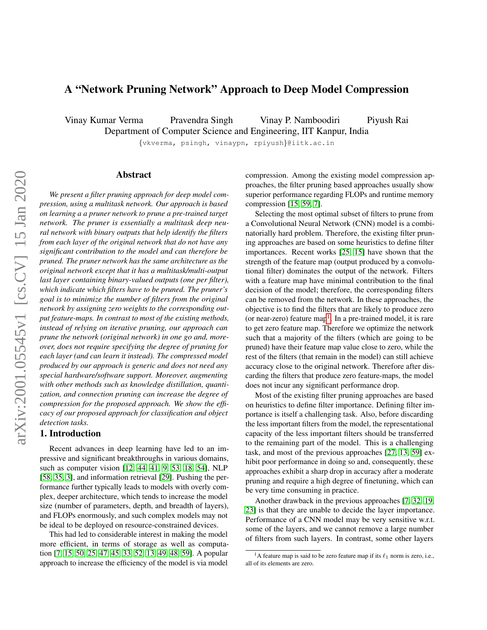# A "Network Pruning Network" Approach to Deep Model Compression

Vinay Kumar Verma Pravendra Singh Vinay P. Namboodiri Piyush Rai

Department of Computer Science and Engineering, IIT Kanpur, India

{vkverma, psingh, vinaypn, rpiyush}@iitk.ac.in

# Abstract

*We present a filter pruning approach for deep model compression, using a multitask network. Our approach is based on learning a a pruner network to prune a pre-trained target network. The pruner is essentially a multitask deep neural network with binary outputs that help identify the filters from each layer of the original network that do not have any significant contribution to the model and can therefore be pruned. The pruner network has the same architecture as the original network except that it has a multitask/multi-output last layer containing binary-valued outputs (one per filter), which indicate which filters have to be pruned. The pruner's goal is to minimize the number of filters from the original network by assigning zero weights to the corresponding output feature-maps. In contrast to most of the existing methods, instead of relying on iterative pruning, our approach can prune the network (original network) in one go and, moreover, does not require specifying the degree of pruning for each layer (and can learn it instead). The compressed model produced by our approach is generic and does not need any special hardware/software support. Moreover, augmenting with other methods such as knowledge distillation, quantization, and connection pruning can increase the degree of compression for the proposed approach. We show the efficacy of our proposed approach for classification and object detection tasks.*

# 1. Introduction

Recent advances in deep learning have led to an impressive and significant breakthroughs in various domains, such as computer vision [\[12,](#page-8-0) [44,](#page-9-0) [41,](#page-9-1) [9,](#page-8-1) [53,](#page-9-2) [18,](#page-8-2) [54\]](#page-9-3), NLP [\[58,](#page-9-4) [35,](#page-8-3) [3\]](#page-8-4), and information retrieval [\[29\]](#page-8-5). Pushing the performance further typically leads to models with overly complex, deeper architecture, which tends to increase the model size (number of parameters, depth, and breadth of layers), and FLOPs enormously, and such complex models may not be ideal to be deployed on resource-constrained devices.

This had led to considerable interest in making the model more efficient, in terms of storage as well as computation [\[7,](#page-8-6) [15,](#page-8-7) [50,](#page-9-5) [25,](#page-8-8) [47,](#page-9-6) [45,](#page-9-7) [33,](#page-8-9) [52,](#page-9-8) [13,](#page-8-10) [49,](#page-9-9) [48,](#page-9-10) [59\]](#page-9-11). A popular approach to increase the efficiency of the model is via model compression. Among the existing model compression approaches, the filter pruning based approaches usually show superior performance regarding FLOPs and runtime memory compression [\[15,](#page-8-7) [59,](#page-9-11) [7\]](#page-8-6).

Selecting the most optimal subset of filters to prune from a Convolutional Neural Network (CNN) model is a combinatorially hard problem. Therefore, the existing filter pruning approaches are based on some heuristics to define filter importances. Recent works [\[25,](#page-8-8) [15\]](#page-8-7) have shown that the strength of the feature map (output produced by a convolutional filter) dominates the output of the network. Filters with a feature map have minimal contribution to the final decision of the model; therefore, the corresponding filters can be removed from the network. In these approaches, the objective is to find the filters that are likely to produce zero (or near-zero) feature map<sup>[1](#page-0-0)</sup>. In a pre-trained model, it is rare to get zero feature map. Therefore we optimize the network such that a majority of the filters (which are going to be pruned) have their feature map value close to zero, while the rest of the filters (that remain in the model) can still achieve accuracy close to the original network. Therefore after discarding the filters that produce zero feature-maps, the model does not incur any significant performance drop.

Most of the existing filter pruning approaches are based on heuristics to define filter importance. Defining filter importance is itself a challenging task. Also, before discarding the less important filters from the model, the representational capacity of the less important filters should be transferred to the remaining part of the model. This is a challenging task, and most of the previous approaches [\[27,](#page-8-11) [13,](#page-8-10) [59\]](#page-9-11) exhibit poor performance in doing so and, consequently, these approaches exhibit a sharp drop in accuracy after a moderate pruning and require a high degree of finetuning, which can be very time consuming in practice.

Another drawback in the previous approaches [\[7,](#page-8-6) [32,](#page-8-12) [19,](#page-8-13) [23\]](#page-8-14) is that they are unable to decide the layer importance. Performance of a CNN model may be very sensitive w.r.t. some of the layers, and we cannot remove a large number of filters from such layers. In contrast, some other layers

<span id="page-0-0"></span><sup>&</sup>lt;sup>1</sup>A feature map is said to be zero feature map if its  $\ell_1$  norm is zero, i.e., all of its elements are zero.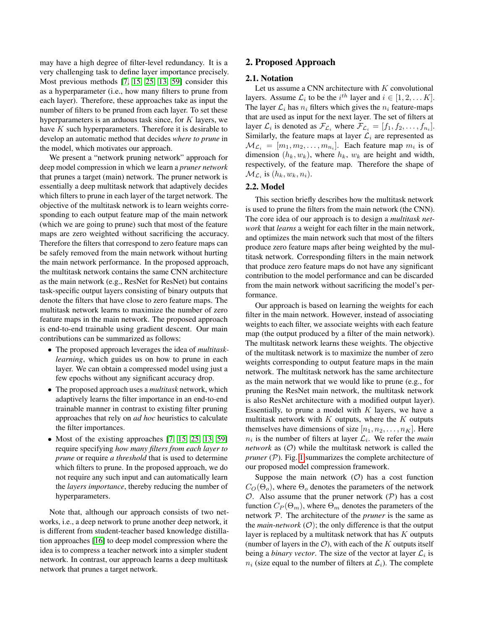may have a high degree of filter-level redundancy. It is a very challenging task to define layer importance precisely. Most previous methods [\[7,](#page-8-6) [15,](#page-8-7) [25,](#page-8-8) [13,](#page-8-10) [59\]](#page-9-11) consider this as a hyperparameter (i.e., how many filters to prune from each layer). Therefore, these approaches take as input the number of filters to be pruned from each layer. To set these hyperparameters is an arduous task since, for  $K$  layers, we have K such hyperparameters. Therefore it is desirable to develop an automatic method that decides *where to prune* in the model, which motivates our approach.

We present a "network pruning network" approach for deep model compression in which we learn a *pruner network* that prunes a target (main) network. The pruner network is essentially a deep multitask network that adaptively decides which filters to prune in each layer of the target network. The objective of the multitask network is to learn weights corresponding to each output feature map of the main network (which we are going to prune) such that most of the feature maps are zero weighted without sacrificing the accuracy. Therefore the filters that correspond to zero feature maps can be safely removed from the main network without hurting the main network performance. In the proposed approach, the multitask network contains the same CNN architecture as the main network (e.g., ResNet for ResNet) but contains task-specific output layers consisting of binary outputs that denote the filters that have close to zero feature maps. The multitask network learns to maximize the number of zero feature maps in the main network. The proposed approach is end-to-end trainable using gradient descent. Our main contributions can be summarized as follows:

- The proposed approach leverages the idea of *multitasklearning*, which guides us on how to prune in each layer. We can obtain a compressed model using just a few epochs without any significant accuracy drop.
- The proposed approach uses a *multitask* network, which adaptively learns the filter importance in an end-to-end trainable manner in contrast to existing filter pruning approaches that rely on *ad hoc* heuristics to calculate the filter importances.
- Most of the existing approaches [\[7,](#page-8-6) [15,](#page-8-7) [25,](#page-8-8) [13,](#page-8-10) [59\]](#page-9-11) require specifying *how many filters from each layer to prune* or require *a threshold* that is used to determine which filters to prune. In the proposed approach, we do not require any such input and can automatically learn the *layers importance*, thereby reducing the number of hyperparameters.

Note that, although our approach consists of two networks, i.e., a deep network to prune another deep network, it is different from student-teacher based knowledge distillation approaches [\[16\]](#page-8-15) to deep model compression where the idea is to compress a teacher network into a simpler student network. In contrast, our approach learns a deep multitask network that prunes a target network.

# 2. Proposed Approach

# 2.1. Notation

Let us assume a CNN architecture with  $K$  convolutional layers. Assume  $\mathcal{L}_i$  to be the  $i^{th}$  layer and  $i \in [1, 2, \dots K]$ . The layer  $\mathcal{L}_i$  has  $n_i$  filters which gives the  $n_i$  feature-maps that are used as input for the next layer. The set of filters at layer  $\mathcal{L}_i$  is denoted as  $\mathcal{F}_{\mathcal{L}_i}$  where  $\mathcal{F}_{\mathcal{L}_i} = [f_1, f_2, \dots, f_{n_i}].$ Similarly, the feature maps at layer  $\mathcal{L}_i$  are represented as  $\mathcal{M}_{\mathcal{L}_i} = [m_1, m_2, \dots, m_{n_i}]$ . Each feature map  $m_i$  is of dimension  $(h_k, w_k)$ , where  $h_k$ ,  $w_k$  are height and width, respectively, of the feature map. Therefore the shape of  $\mathcal{M}_{\mathcal{L}_i}$  is  $(h_k, w_k, n_i)$ .

#### 2.2. Model

This section briefly describes how the multitask network is used to prune the filters from the main network (the CNN). The core idea of our approach is to design a *multitask network* that *learns* a weight for each filter in the main network, and optimizes the main network such that most of the filters produce zero feature maps after being weighted by the multitask network. Corresponding filters in the main network that produce zero feature maps do not have any significant contribution to the model performance and can be discarded from the main network without sacrificing the model's performance.

Our approach is based on learning the weights for each filter in the main network. However, instead of associating weights to each filter, we associate weights with each feature map (the output produced by a filter of the main network). The multitask network learns these weights. The objective of the multitask network is to maximize the number of zero weights corresponding to output feature maps in the main network. The multitask network has the same architecture as the main network that we would like to prune (e.g., for pruning the ResNet main network, the multitask network is also ResNet architecture with a modified output layer). Essentially, to prune a model with  $K$  layers, we have a multitask network with  $K$  outputs, where the  $K$  outputs themselves have dimensions of size  $[n_1, n_2, \ldots, n_K]$ . Here  $n_i$  is the number of filters at layer  $\mathcal{L}_i$ . We refer the *main network* as  $(0)$  while the multitask network is called the *pruner* (P). Fig. [1](#page-2-0) summarizes the complete architecture of our proposed model compression framework.

Suppose the main network  $(0)$  has a cost function  $C<sub>O</sub>(\Theta<sub>o</sub>)$ , where  $\Theta<sub>o</sub>$  denotes the parameters of the network  $O$ . Also assume that the pruner network  $(P)$  has a cost function  $C_P(\Theta_m)$ , where  $\Theta_m$  denotes the parameters of the network P. The architecture of the *pruner* is the same as the *main-network*  $(O)$ ; the only difference is that the output layer is replaced by a multitask network that has  $K$  outputs (number of layers in the  $\mathcal{O}$ ), with each of the K outputs itself being a *binary vector*. The size of the vector at layer  $\mathcal{L}_i$  is  $n_i$  (size equal to the number of filters at  $\mathcal{L}_i$ ). The complete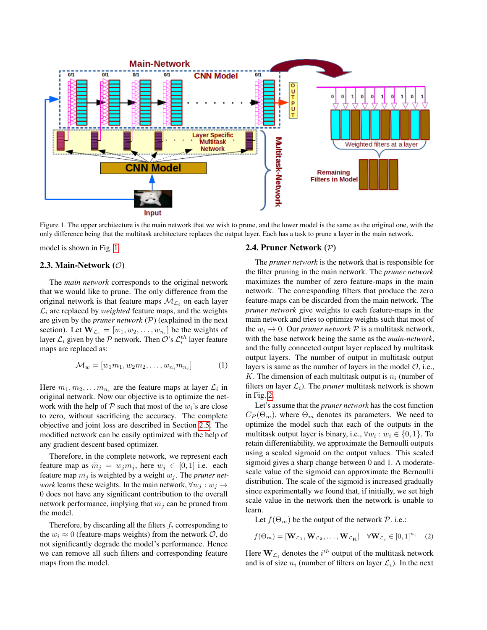

<span id="page-2-0"></span>Figure 1. The upper architecture is the main network that we wish to prune, and the lower model is the same as the original one, with the only difference being that the multitask architecture replaces the output layer. Each has a task to prune a layer in the main network.

model is shown in Fig. [1.](#page-2-0)

### 2.3. Main-Network  $(\mathcal{O})$

The *main network* corresponds to the original network that we would like to prune. The only difference from the original network is that feature maps  $\mathcal{M}_{\mathcal{L}_i}$  on each layer  $\mathcal{L}_i$  are replaced by *weighted* feature maps, and the weights are given by the *pruner network* (P) (explained in the next section). Let  $\mathbf{W}_{\mathcal{L}_i} = [w_1, w_2, \dots, w_{n_i}]$  be the weights of layer  $\mathcal{L}_i$  given by the  $\mathcal P$  network. Then  $\mathcal O$ 's  $\mathcal{L}_i^{th}$  layer feature maps are replaced as:

$$
\mathcal{M}_w = [w_1 m_1, w_2 m_2, \dots, w_{n_i} m_{n_i}] \tag{1}
$$

Here  $m_1, m_2, \ldots m_{n_i}$  are the feature maps at layer  $\mathcal{L}_i$  in original network. Now our objective is to optimize the network with the help of  $P$  such that most of the  $w_i$ 's are close to zero, without sacrificing the accuracy. The complete objective and joint loss are described in Section [2.5.](#page-3-0) The modified network can be easily optimized with the help of any gradient descent based optimizer.

Therefore, in the complete network, we represent each feature map as  $\tilde{m}_j = w_j m_j$ , here  $w_j \in [0, 1]$  i.e. each feature map  $m_j$  is weighted by a weight  $w_j$ . The *pruner network* learns these weights. In the main network,  $\forall w_j : w_j \rightarrow$ 0 does not have any significant contribution to the overall network performance, implying that  $m_i$  can be pruned from the model.

Therefore, by discarding all the filters  $f_i$  corresponding to the  $w_i \approx 0$  (feature-maps weights) from the network  $\mathcal{O}$ , do not significantly degrade the model's performance. Hence we can remove all such filters and corresponding feature maps from the model.

#### 2.4. Pruner Network (P)

The *pruner network* is the network that is responsible for the filter pruning in the main network. The *pruner network* maximizes the number of zero feature-maps in the main network. The corresponding filters that produce the zero feature-maps can be discarded from the main network. The *pruner network* give weights to each feature-maps in the main network and tries to optimize weights such that most of the  $w_i \rightarrow 0$ . Our *pruner network*  $\mathcal P$  is a multitask network, with the base network being the same as the *main-network*, and the fully connected output layer replaced by multitask output layers. The number of output in multitask output layers is same as the number of layers in the model  $\mathcal{O}$ , i.e., K. The dimension of each multitask output is  $n_i$  (number of filters on layer  $\mathcal{L}_i$ ). The *pruner* multitask network is shown in Fig. [2.](#page-3-1)

Let's assume that the *pruner network* has the cost function  $C_P(\Theta_m)$ , where  $\Theta_m$  denotes its parameters. We need to optimize the model such that each of the outputs in the multitask output layer is binary, i.e.,  $\forall w_i : w_i \in \{0, 1\}$ . To retain differentiability, we approximate the Bernoulli outputs using a scaled sigmoid on the output values. This scaled sigmoid gives a sharp change between 0 and 1. A moderatescale value of the sigmoid can approximate the Bernoulli distribution. The scale of the sigmoid is increased gradually since experimentally we found that, if initially, we set high scale value in the network then the network is unable to learn.

Let  $f(\Theta_m)$  be the output of the network  $P$ . i.e.:

<span id="page-2-1"></span>
$$
f(\Theta_m) = [\mathbf{W}_{\mathcal{L}_1}, \mathbf{W}_{\mathcal{L}_2}, \dots, \mathbf{W}_{\mathcal{L}_{\mathbf{K}}}] \quad \forall \mathbf{W}_{\mathcal{L}_i} \in [0, 1]^{n_i} \quad (2)
$$

Here  $\mathbf{W}_{\mathcal{L}_i}$  denotes the  $i^{th}$  output of the multitask network and is of size  $n_i$  (number of filters on layer  $\mathcal{L}_i$ ). In the next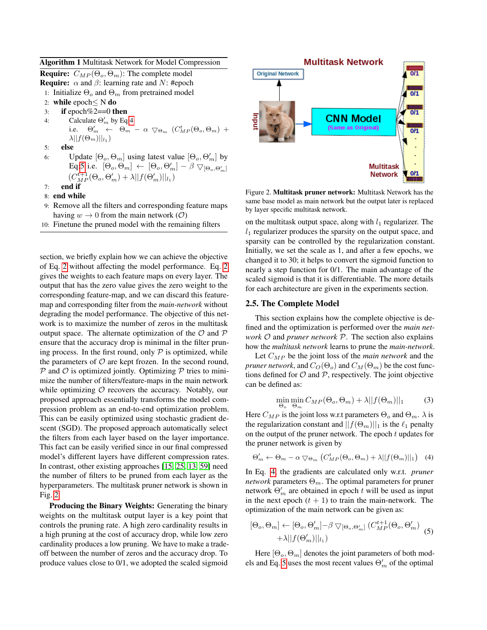### Algorithm 1 Multitask Network for Model Compression

- **Require:**  $C_{MP}(\Theta_o, \Theta_m)$ : The complete model
- **Require:**  $\alpha$  and  $\beta$ : learning rate and N: #epoch
- 1: Initialize  $\Theta_o$  and  $\Theta_m$  from pretrained model
- 2: while epoch≤ N do
- 3: if epoch $\%2 == 0$  then
- 4: Calculate  $\Theta'_m$  by Eq[:4](#page-3-2) i.e.  $\Theta'_m$   $\leftarrow$   $\Theta_m$   $\alpha$   $\bigtriangledown_{\Theta_m}$   $(C^t_{MP}(\Theta_o, \Theta_m)$  +  $\lambda ||f(\Theta_m)||_{l_1}$
- 5: else
- 6: Update  $[\Theta_o, \Theta_m]$  using latest value  $[\Theta_o, \Theta'_m]$  by Eq[:5](#page-3-3) i.e.  $[\Theta_o, \Theta_m] \leftarrow [\Theta_o, \Theta'_m] - \beta \nabla_{[\Theta_o, \Theta'_m]}$  $(C_{MP}^{t+1}(\Theta_o, \Theta_m' ) + \lambda ||f(\Theta_m')||_{l_1})$
- 7: end if
- 8: end while
- 9: Remove all the filters and corresponding feature maps having  $w \to 0$  from the main network (O)
- 10: Finetune the pruned model with the remaining filters

section, we briefly explain how we can achieve the objective of Eq. [2](#page-2-1) without affecting the model performance. Eq. [2](#page-2-1) gives the weights to each feature maps on every layer. The output that has the zero value gives the zero weight to the corresponding feature-map, and we can discard this featuremap and corresponding filter from the *main-network* without degrading the model performance. The objective of this network is to maximize the number of zeros in the multitask output space. The alternate optimization of the  $\mathcal O$  and  $\mathcal P$ ensure that the accuracy drop is minimal in the filter pruning process. In the first round, only  $P$  is optimized, while the parameters of  $\mathcal O$  are kept frozen. In the second round,  $P$  and  $O$  is optimized jointly. Optimizing  $P$  tries to minimize the number of filters/feature-maps in the main network while optimizing  $O$  recovers the accuracy. Notably, our proposed approach essentially transforms the model compression problem as an end-to-end optimization problem. This can be easily optimized using stochastic gradient descent (SGD). The proposed approach automatically select the filters from each layer based on the layer importance. This fact can be easily verified since in our final compressed model's different layers have different compression rates. In contrast, other existing approaches [\[15,](#page-8-7) [25,](#page-8-8) [13,](#page-8-10) [59\]](#page-9-11) need the number of filters to be pruned from each layer as the hyperparameters. The multitask pruner network is shown in Fig. [2.](#page-3-1)

Producing the Binary Weights: Generating the binary weights on the multitask output layer is a key point that controls the pruning rate. A high zero cardinality results in a high pruning at the cost of accuracy drop, while low zero cardinality produces a low pruning. We have to make a tradeoff between the number of zeros and the accuracy drop. To produce values close to 0/1, we adopted the scaled sigmoid



<span id="page-3-1"></span>Figure 2. Multitask pruner network: Multitask Network has the same base model as main network but the output later is replaced by layer specific multitask network.

on the multitask output space, along with  $l_1$  regularizer. The  $l_1$  regularizer produces the sparsity on the output space, and sparsity can be controlled by the regularization constant. Initially, we set the scale as 1, and after a few epochs, we changed it to 30; it helps to convert the sigmoid function to nearly a step function for 0/1. The main advantage of the scaled sigmoid is that it is differentiable. The more details for each architecture are given in the experiments section.

### <span id="page-3-0"></span>2.5. The Complete Model

This section explains how the complete objective is defined and the optimization is performed over the *main network* O and *pruner network* P. The section also explains how the *multitask network* learns to prune the *main-network*.

Let  $C_{MP}$  be the joint loss of the *main network* and the *pruner network*, and  $C_O(\Theta_o)$  and  $C_M(\Theta_m)$  be the cost functions defined for  $\mathcal O$  and  $\mathcal P$ , respectively. The joint objective can be defined as:

<span id="page-3-4"></span>
$$
\min_{\Theta_o} \min_{\Theta_m} C_{MP}(\Theta_o, \Theta_m) + \lambda ||f(\Theta_m)||_1 \tag{3}
$$

Here  $C_{MP}$  is the joint loss w.r.t parameters  $\Theta_o$  and  $\Theta_m$ .  $\lambda$  is the regularization constant and  $||f(\Theta_m)||_1$  is the  $\ell_1$  penalty on the output of the pruner network. The epoch  $t$  updates for the pruner network is given by

<span id="page-3-2"></span>
$$
\Theta'_{m} \leftarrow \Theta_{m} - \alpha \bigtriangledown_{\Theta_{m}} \left( C_{MP}^{t}(\Theta_{o}, \Theta_{m}) + \lambda ||f(\Theta_{m})||_{1} \right) \tag{4}
$$

In Eq. [4,](#page-3-2) the gradients are calculated only w.r.t. *pruner network* parameters  $\Theta_m$ . The optimal parameters for pruner network  $\Theta'_{m}$  are obtained in epoch t will be used as input in the next epoch  $(t + 1)$  to train the main-network. The optimization of the main network can be given as:

<span id="page-3-3"></span>
$$
[\Theta_o, \Theta_m] \leftarrow [\Theta_o, \Theta'_m] - \beta \nabla_{[\Theta_o, \Theta'_m]} (C_{MP}^{t+1}(\Theta_o, \Theta'_m) + \lambda ||f(\Theta'_m)||_{l_1})
$$
(5)

Here  $[\Theta_o, \Theta_m]$  denotes the joint parameters of both mod-els and Eq. [5](#page-3-3) uses the most recent values  $\Theta'_{m}$  of the optimal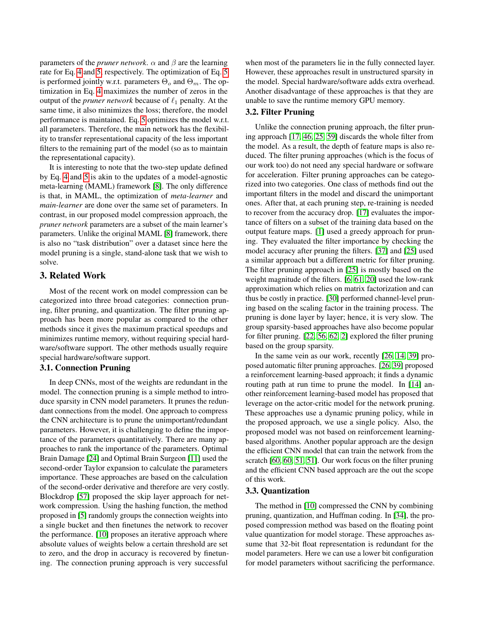parameters of the *pruner network*.  $\alpha$  and  $\beta$  are the learning rate for Eq. [4](#page-3-2) and [5,](#page-3-3) respectively. The optimization of Eq. [5](#page-3-3) is performed jointly w.r.t. parameters  $\Theta_o$  and  $\Theta_m$ . The optimization in Eq. [4](#page-3-2) maximizes the number of zeros in the output of the *pruner network* because of  $\ell_1$  penalty. At the same time, it also minimizes the loss; therefore, the model performance is maintained. Eq. [5](#page-3-3) optimizes the model w.r.t. all parameters. Therefore, the main network has the flexibility to transfer representational capacity of the less important filters to the remaining part of the model (so as to maintain the representational capacity).

It is interesting to note that the two-step update defined by Eq. [4](#page-3-2) and [5](#page-3-3) is akin to the updates of a model-agnostic meta-learning (MAML) framework [\[8\]](#page-8-16). The only difference is that, in MAML, the optimization of *meta-learner* and *main-learner* are done over the same set of parameters. In contrast, in our proposed model compression approach, the *pruner network* parameters are a subset of the main learner's parameters. Unlike the original MAML [\[8\]](#page-8-16) framework, there is also no "task distribution" over a dataset since here the model pruning is a single, stand-alone task that we wish to solve.

# 3. Related Work

Most of the recent work on model compression can be categorized into three broad categories: connection pruning, filter pruning, and quantization. The filter pruning approach has been more popular as compared to the other methods since it gives the maximum practical speedups and minimizes runtime memory, without requiring special hardware/software support. The other methods usually require special hardware/software support.

# 3.1. Connection Pruning

In deep CNNs, most of the weights are redundant in the model. The connection pruning is a simple method to introduce sparsity in CNN model parameters. It prunes the redundant connections from the model. One approach to compress the CNN architecture is to prune the unimportant/redundant parameters. However, it is challenging to define the importance of the parameters quantitatively. There are many approaches to rank the importance of the parameters. Optimal Brain Damage [\[24\]](#page-8-17) and Optimal Brain Surgeon [\[11\]](#page-8-18) used the second-order Taylor expansion to calculate the parameters importance. These approaches are based on the calculation of the second-order derivative and therefore are very costly. Blockdrop [\[57\]](#page-9-12) proposed the skip layer approach for network compression. Using the hashing function, the method proposed in [\[5\]](#page-8-19) randomly groups the connection weights into a single bucket and then finetunes the network to recover the performance. [\[10\]](#page-8-20) proposes an iterative approach where absolute values of weights below a certain threshold are set to zero, and the drop in accuracy is recovered by finetuning. The connection pruning approach is very successful when most of the parameters lie in the fully connected layer. However, these approaches result in unstructured sparsity in the model. Special hardware/software adds extra overhead. Another disadvantage of these approaches is that they are unable to save the runtime memory GPU memory.

#### 3.2. Filter Pruning

Unlike the connection pruning approach, the filter pruning approach [\[17,](#page-8-21) [46,](#page-9-13) [25,](#page-8-8) [59\]](#page-9-11) discards the whole filter from the model. As a result, the depth of feature maps is also reduced. The filter pruning approaches (which is the focus of our work too) do not need any special hardware or software for acceleration. Filter pruning approaches can be categorized into two categories. One class of methods find out the important filters in the model and discard the unimportant ones. After that, at each pruning step, re-training is needed to recover from the accuracy drop. [\[17\]](#page-8-21) evaluates the importance of filters on a subset of the training data based on the output feature maps. [\[1\]](#page-8-22) used a greedy approach for pruning. They evaluated the filter importance by checking the model accuracy after pruning the filters. [\[37\]](#page-8-23) and [\[25\]](#page-8-8) used a similar approach but a different metric for filter pruning. The filter pruning approach in [\[25\]](#page-8-8) is mostly based on the weight magnitude of the filters. [\[6,](#page-8-24) [61,](#page-9-14) [20\]](#page-8-25) used the low-rank approximation which relies on matrix factorization and can thus be costly in practice. [\[30\]](#page-8-26) performed channel-level pruning based on the scaling factor in the training process. The pruning is done layer by layer; hence, it is very slow. The group sparsity-based approaches have also become popular for filter pruning. [\[22,](#page-8-27) [56,](#page-9-15) [62,](#page-9-16) [2\]](#page-8-28) explored the filter pruning based on the group sparsity.

In the same vein as our work, recently [\[26,](#page-8-29) [14,](#page-8-30) [39\]](#page-8-31) proposed automatic filter pruning approaches. [\[26,](#page-8-29) [39\]](#page-8-31) proposed a reinforcement learning-based approach; it finds a dynamic routing path at run time to prune the model. In [\[14\]](#page-8-30) another reinforcement learning-based model has proposed that leverage on the actor-critic model for the network pruning. These approaches use a dynamic pruning policy, while in the proposed approach, we use a single policy. Also, the proposed model was not based on reinforcement learningbased algorithms. Another popular approach are the design the efficient CNN model that can train the network from the scratch [\[60,](#page-9-17) [60,](#page-9-17) [51,](#page-9-18) [51\]](#page-9-18). Our work focus on the filter pruning and the efficient CNN based approach are the out the scope of this work.

#### 3.3. Quantization

The method in [\[10\]](#page-8-20) compressed the CNN by combining pruning, quantization, and Huffman coding. In [\[34\]](#page-8-32), the proposed compression method was based on the floating point value quantization for model storage. These approaches assume that 32-bit float representation is redundant for the model parameters. Here we can use a lower bit configuration for model parameters without sacrificing the performance.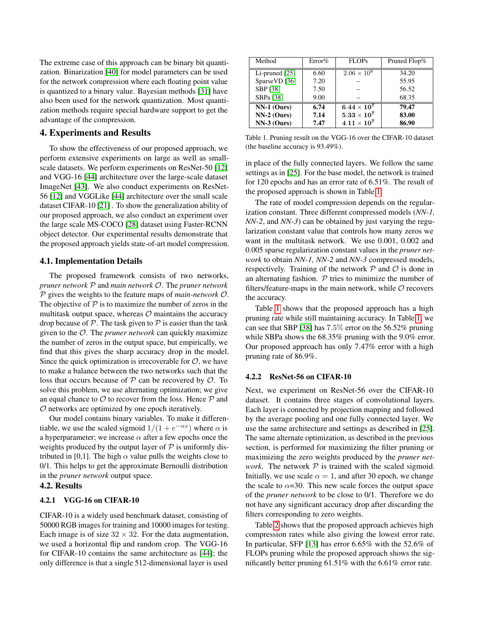The extreme case of this approach can be binary bit quantization. Binarization [\[40\]](#page-8-33) for model parameters can be used for the network compression where each floating point value is quantized to a binary value. Bayesian methods [\[31\]](#page-8-34) have also been used for the network quantization. Most quantization methods require special hardware support to get the advantage of the compression.

# 4. Experiments and Results

To show the effectiveness of our proposed approach, we perform extensive experiments on large as well as small-scale datasets. We perform experiments on ResNet-50 [\[12\]](#page-8-0) and VGG-16 [\[44\]](#page-9-0) architecture over the large-scale dataset ImageNet [\[43\]](#page-9-19). We also conduct experiments on ResNet-56 [\[12\]](#page-8-0) and VGGLike [\[44\]](#page-9-0) architecture over the small scale dataset CIFAR-10 [\[21\]](#page-8-35) . To show the generalization ability of our proposed approach, we also conduct an experiment over the large scale MS-COCO [\[28\]](#page-8-36) dataset using Faster-RCNN object detector. Our experimental results demonstrate that the proposed approach yields state-of-art model compression.

#### 4.1. Implementation Details

The proposed framework consists of two networks, *pruner network* P and *main network* O. The *pruner network* P gives the weights to the feature maps of *main-network* O. The objective of  $P$  is to maximize the number of zeros in the multitask output space, whereas  $O$  maintains the accuracy drop because of  $P$ . The task given to  $P$  is easier than the task given to the O. The *pruner network* can quickly maximize the number of zeros in the output space, but empirically, we find that this gives the sharp accuracy drop in the model. Since the quick optimization is irrecoverable for  $\mathcal{O}$ , we have to make a balance between the two networks such that the loss that occurs because of  $P$  can be recovered by  $O$ . To solve this problem, we use alternating optimization; we give an equal chance to  $\mathcal O$  to recover from the loss. Hence  $\mathcal P$  and O networks are optimized by one epoch iteratively.

Our model contains binary variables. To make it differentiable, we use the scaled sigmoid  $1/(1 + e^{-\alpha x})$  where  $\alpha$  is a hyperparameter; we increase  $\alpha$  after a few epochs once the weights produced by the output layer of  $P$  is uniformly distributed in [0,1]. The high  $\alpha$  value pulls the weights close to 0/1. This helps to get the approximate Bernoulli distribution in the *pruner network* output space.

# 4.2. Results

# 4.2.1 VGG-16 on CIFAR-10

CIFAR-10 is a widely used benchmark dataset, consisting of 50000 RGB images for training and 10000 images for testing. Each image is of size  $32 \times 32$ . For the data augmentation, we used a horizontal flip and random crop. The VGG-16 for CIFAR-10 contains the same architecture as [\[44\]](#page-9-0); the only difference is that a single 512-dimensional layer is used

| Method           | Error% | <b>FLOPs</b>       | Pruned Flop% |  |
|------------------|--------|--------------------|--------------|--|
| Li-pruned $[25]$ | 6.60   | $2.06 \times 10^8$ | 34.20        |  |
| SparseVD [36]    | 7.20   |                    | 55.95        |  |
| SBP [38]         | 7.50   |                    | 56.52        |  |
| SBPa [38]        | 9.00   |                    | 68.35        |  |
| $NN-1$ (Ours)    | 6.74   | $6.44\times10^7$   | 79.47        |  |
| $NN-2$ (Ours)    | 7.14   | $5.33\times10^7$   | 83.00        |  |
| $NN-3$ (Ours)    | 7.47   | $4.11\times10^7$   | 86.90        |  |

<span id="page-5-0"></span>Table 1. Pruning result on the VGG-16 over the CIFAR-10 dataset (the baseline accuracy is 93.49%).

in place of the fully connected layers. We follow the same settings as in [\[25\]](#page-8-8). For the base model, the network is trained for 120 epochs and has an error rate of 6.51%. The result of the proposed approach is shown in Table [1.](#page-5-0)

The rate of model compression depends on the regularization constant. Three different compressed models (*NN-1, NN-2*, and *NN-3*) can be obtained by just varying the regularization constant value that controls how many zeros we want in the multitask network. We use 0.001, 0.002 and 0.005 sparse regularization constant values in the *pruner network* to obtain *NN-1, NN-2* and *NN-3* compressed models, respectively. Training of the network  $P$  and  $O$  is done in an alternating fashion.  $P$  tries to minimize the number of filters/feature-maps in the main network, while  $O$  recovers the accuracy.

Table [1](#page-5-0) shows that the proposed approach has a high pruning rate while still maintaining accuracy. In Table [1,](#page-5-0) we can see that SBP [\[38\]](#page-8-38) has 7.5% error on the 56.52% pruning while SBPa shows the 68.35% pruning with the 9.0% error. Our proposed approach has only 7.47% error with a high pruning rate of 86.9%.

#### 4.2.2 ResNet-56 on CIFAR-10

Next, we experiment on ResNet-56 over the CIFAR-10 dataset. It contains three stages of convolutional layers. Each layer is connected by projection mapping and followed by the average pooling and one fully connected layer. We use the same architecture and settings as described in [\[25\]](#page-8-8). The same alternate optimization, as described in the previous section, is performed for maximizing the filter pruning or maximizing the zero weights produced by the *pruner network*. The network  $P$  is trained with the scaled sigmoid. Initially, we use scale  $\alpha = 1$ , and after 30 epoch, we change the scale to  $\alpha$ =30. This new scale forces the output space of the *pruner network* to be close to 0/1. Therefore we do not have any significant accuracy drop after discarding the filters corresponding to zero weights.

Table [2](#page-6-0) shows that the proposed approach achieves high compression rates while also giving the lowest error rate. In particular, SFP [\[13\]](#page-8-10) has error 6.65% with the 52.6% of FLOPs pruning while the proposed approach shows the significantly better pruning 61.51% with the 6.61% error rate.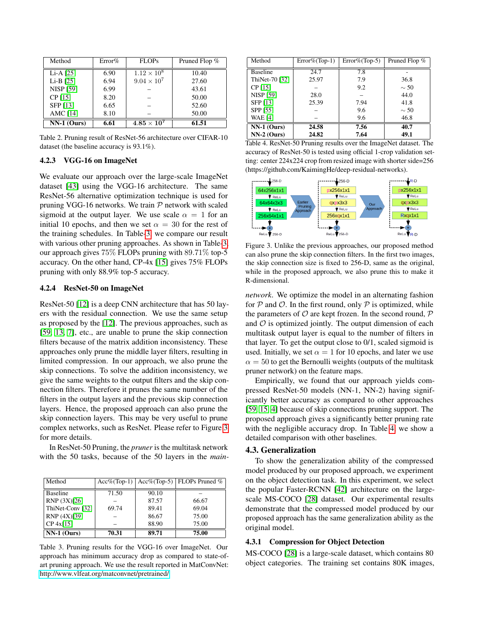| Method           | Error% | FLOPs                | Pruned Flop % |
|------------------|--------|----------------------|---------------|
| $Li-A$ [25]      | 6.90   | $1.12 \times 10^{8}$ | 10.40         |
| $Li-B$ [25]      | 6.94   | $9.04 \times 10^{7}$ | 27.60         |
| <b>NISP [59]</b> | 6.99   |                      | 43.61         |
| CP [15]          | 8.20   |                      | 50.00         |
| SFP [13]         | 6.65   |                      | 52.60         |
| AMC [14]         | 8.10   |                      | 50.00         |
| $NN-1$ (Ours)    | 6.61   | $4.85\times10^7$     | 61.51         |

<span id="page-6-0"></span>Table 2. Pruning result of ResNet-56 architecture over CIFAR-10 dataset (the baseline accuracy is 93.1%).

# 4.2.3 VGG-16 on ImageNet

We evaluate our approach over the large-scale ImageNet dataset [\[43\]](#page-9-19) using the VGG-16 architecture. The same ResNet-56 alternative optimization technique is used for pruning VGG-16 networks. We train  $P$  network with scaled sigmoid at the output layer. We use scale  $\alpha = 1$  for an initial 10 epochs, and then we set  $\alpha = 30$  for the rest of the training schedules. In Table[-3,](#page-6-1) we compare our result with various other pruning approaches. As shown in Table[-3,](#page-6-1) our approach gives 75% FLOPs pruning with 89.71% top-5 accuracy. On the other hand, CP-4x [\[15\]](#page-8-7) gives 75% FLOPs pruning with only 88.9% top-5 accuracy.

# 4.2.4 ResNet-50 on ImageNet

ResNet-50 [\[12\]](#page-8-0) is a deep CNN architecture that has 50 layers with the residual connection. We use the same setup as proposed by the [\[12\]](#page-8-0). The previous approaches, such as [\[59,](#page-9-11) [13,](#page-8-10) [7\]](#page-8-6), etc., are unable to prune the skip connection filters because of the matrix addition inconsistency. These approaches only prune the middle layer filters, resulting in limited compression. In our approach, we also prune the skip connections. To solve the addition inconsistency, we give the same weights to the output filters and the skip connection filters. Therefore it prunes the same number of the filters in the output layers and the previous skip connection layers. Hence, the proposed approach can also prune the skip connection layers. This may be very useful to prune complex networks, such as ResNet. Please refer to Figure [3](#page-6-2) for more details.

In ResNet-50 Pruning, the *pruner* is the multitask network with the 50 tasks, because of the 50 layers in the *main-*

| Method           | $Acc\%$ (Top-1) |       | $Acc\%$ (Top-5)   FLOPs Pruned $\%$ |
|------------------|-----------------|-------|-------------------------------------|
| <b>Baseline</b>  | 71.50           | 90.10 |                                     |
| RNP (3X)[26]     |                 | 87.57 | 66.67                               |
| ThiNet-Conv [32] | 69.74           | 89.41 | 69.04                               |
| RNP (4X)[39]     |                 | 86.67 | 75.00                               |
| $CP$ 4x[15]      |                 | 88.90 | 75.00                               |
| $NN-1$ (Ours)    | 70.31           | 89.71 | 75.00                               |

<span id="page-6-1"></span>Table 3. Pruning results for the VGG-16 over ImageNet. Our approach has minimum accuracy drop as compared to state-ofart pruning approach. We use the result reported in MatConvNet: [http://www.vlfeat.org/matconvnet/pretrained/.](http://www.vlfeat.org/matconvnet/pretrained/)

| Method           | $Error\% (Top-1)$ | $Error\% (Top-5)$ | Pruned Flop % |
|------------------|-------------------|-------------------|---------------|
| <b>Baseline</b>  | 24.7              | 7.8               |               |
| ThiNet-70 [32]   | 25.97             | 7.9               | 36.8          |
| CP [15]          |                   | 9.2               | $\sim$ 50     |
| <b>NISP [59]</b> | 28.0              |                   | 44.0          |
| SFP [13]         | 25.39             | 7.94              | 41.8          |
| SPP [55]         |                   | 9.6               | $\sim$ 50     |
| <b>WAE [4]</b>   |                   | 9.6               | 46.8          |
| $NN-1$ (Ours)    | 24.58             | 7.56              | 40.7          |
| $NN-2$ (Ours)    | 24.82             | 7.64              | 49.1          |

<span id="page-6-3"></span>Table 4. ResNet-50 Pruning results over the ImageNet dataset. The accuracy of ResNet-50 is tested using official 1-crop validation setting: center 224x224 crop from resized image with shorter side=256 (https://github.com/KaimingHe/deep-residual-networks).



<span id="page-6-2"></span>Figure 3. Unlike the previous approaches, our proposed method can also prune the skip connection filters. In the first two images, the skip connection size is fixed to 256-D, same as the original, while in the proposed approach, we also prune this to make it R-dimensional.

*network*. We optimize the model in an alternating fashion for  $P$  and  $O$ . In the first round, only  $P$  is optimized, while the parameters of  $O$  are kept frozen. In the second round,  $P$ and  $O$  is optimized jointly. The output dimension of each multitask output layer is equal to the number of filters in that layer. To get the output close to 0/1, scaled sigmoid is used. Initially, we set  $\alpha = 1$  for 10 epochs, and later we use  $\alpha = 50$  to get the Bernoulli weights (outputs of the multitask pruner network) on the feature maps.

Empirically, we found that our approach yields compressed ResNet-50 models (NN-1, NN-2) having significantly better accuracy as compared to other approaches [\[59,](#page-9-11) [15,](#page-8-7) [4\]](#page-8-39) because of skip connections pruning support. The proposed approach gives a significantly better pruning rate with the negligible accuracy drop. In Table [4,](#page-6-3) we show a detailed comparison with other baselines.

### 4.3. Generalization

To show the generalization ability of the compressed model produced by our proposed approach, we experiment on the object detection task. In this experiment, we select the popular Faster-RCNN [\[42\]](#page-9-21) architecture on the largescale MS-COCO [\[28\]](#page-8-36) dataset. Our experimental results demonstrate that the compressed model produced by our proposed approach has the same generalization ability as the original model.

# 4.3.1 Compression for Object Detection

MS-COCO [\[28\]](#page-8-36) is a large-scale dataset, which contains 80 object categories. The training set contains 80K images,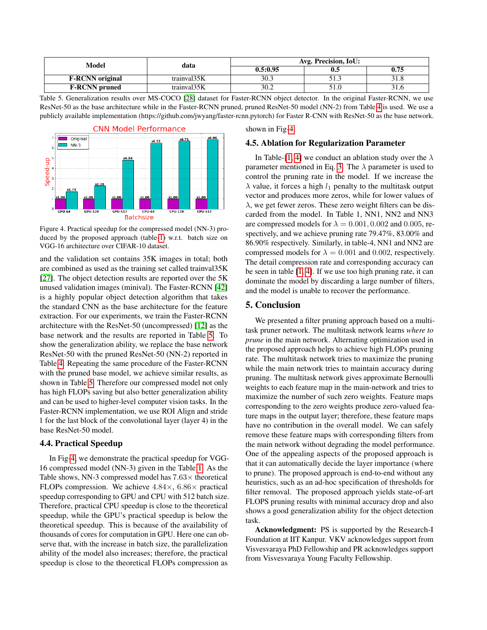| Model                  | data        | Avg. Precision, IoU: |        |      |
|------------------------|-------------|----------------------|--------|------|
|                        |             | 0.5:0.95             | v.z    | 0.75 |
| <b>F-RCNN</b> original | trainval35K | 30.3                 | ر. . ر |      |
| <b>F-RCNN</b> pruned   | trainval35K | 30.2                 |        |      |

<span id="page-7-0"></span>Table 5. Generalization results over MS-COCO [\[28\]](#page-8-36) dataset for Faster-RCNN object detector. In the original Faster-RCNN, we use ResNet-50 as the base architecture while in the Faster-RCNN pruned, pruned ResNet-50 model (NN-2) from Table [4](#page-6-3) is used. We use a publicly available implementation (https://github.com/jwyang/faster-rcnn.pytorch) for Faster R-CNN with ResNet-50 as the base network.



<span id="page-7-1"></span>Figure 4. Practical speedup for the compressed model (NN-3) produced by the proposed approach (table[-1\)](#page-5-0) w.r.t. batch size on VGG-16 architecture over CIFAR-10 dataset.

and the validation set contains 35K images in total; both are combined as used as the training set called trainval35K [\[27\]](#page-8-11). The object detection results are reported over the 5K unused validation images (minival). The Faster-RCNN [\[42\]](#page-9-21) is a highly popular object detection algorithm that takes the standard CNN as the base architecture for the feature extraction. For our experiments, we train the Faster-RCNN architecture with the ResNet-50 (uncompressed) [\[12\]](#page-8-0) as the base network and the results are reported in Table [5.](#page-7-0) To show the generalization ability, we replace the base network ResNet-50 with the pruned ResNet-50 (NN-2) reported in Table [4.](#page-6-3) Repeating the same procedure of the Faster-RCNN with the pruned base model, we achieve similar results, as shown in Table [5.](#page-7-0) Therefore our compressed model not only has high FLOPs saving but also better generalization ability and can be used to higher-level computer vision tasks. In the Faster-RCNN implementation, we use ROI Align and stride 1 for the last block of the convolutional layer (layer 4) in the base ResNet-50 model.

# 4.4. Practical Speedup

In Fig[-4,](#page-7-1) we demonstrate the practical speedup for VGG-16 compressed model (NN-3) given in the Table [1.](#page-5-0) As the Table shows, NN-3 compressed model has  $7.63\times$  theoretical FLOPs compression. We achieve  $4.84\times$ ,  $6.86\times$  practical speedup corresponding to GPU and CPU with 512 batch size. Therefore, practical CPU speedup is close to the theoretical speedup, while the GPU's practical speedup is below the theoretical speedup. This is because of the availability of thousands of cores for computation in GPU. Here one can observe that, with the increase in batch size, the parallelization ability of the model also increases; therefore, the practical speedup is close to the theoretical FLOPs compression as

shown in Fig[-4.](#page-7-1)

### 4.5. Ablation for Regularization Parameter

In Table-[\[1,](#page-5-0) [4\]](#page-6-3) we conduct an ablation study over the  $\lambda$ parameter mentioned in Eq. [3.](#page-3-4) The  $\lambda$  parameter is used to control the pruning rate in the model. If we increase the  $\lambda$  value, it forces a high  $l_1$  penalty to the multitask output vector and produces more zeros, while for lower values of  $\lambda$ , we get fewer zeros. These zero weight filters can be discarded from the model. In Table 1, NN1, NN2 and NN3 are compressed models for  $\lambda = 0.001, 0.002$  and 0.005, respectively, and we achieve pruning rate 79.47%, 83.00% and 86.90% respectively. Similarly, in table-4, NN1 and NN2 are compressed models for  $\lambda = 0.001$  and 0.002, respectively. The detail compression rate and corresponding accuracy can be seen in table [\[1,](#page-5-0) [4\]](#page-6-3). If we use too high pruning rate, it can dominate the model by discarding a large number of filters, and the model is unable to recover the performance.

# 5. Conclusion

We presented a filter pruning approach based on a multitask pruner network. The multitask network learns *where to prune* in the main network. Alternating optimization used in the proposed approach helps to achieve high FLOPs pruning rate. The multitask network tries to maximize the pruning while the main network tries to maintain accuracy during pruning. The multitask network gives approximate Bernoulli weights to each feature map in the main-network and tries to maximize the number of such zero weights. Feature maps corresponding to the zero weights produce zero-valued feature maps in the output layer; therefore, these feature maps have no contribution in the overall model. We can safely remove these feature maps with corresponding filters from the main network without degrading the model performance. One of the appealing aspects of the proposed approach is that it can automatically decide the layer importance (where to prune). The proposed approach is end-to-end without any heuristics, such as an ad-hoc specification of thresholds for filter removal. The proposed approach yields state-of-art FLOPS pruning results with minimal accuracy drop and also shows a good generalization ability for the object detection task.

Acknowledgment: PS is supported by the Research-I Foundation at IIT Kanpur. VKV acknowledges support from Visvesvaraya PhD Fellowship and PR acknowledges support from Visvesvaraya Young Faculty Fellowship.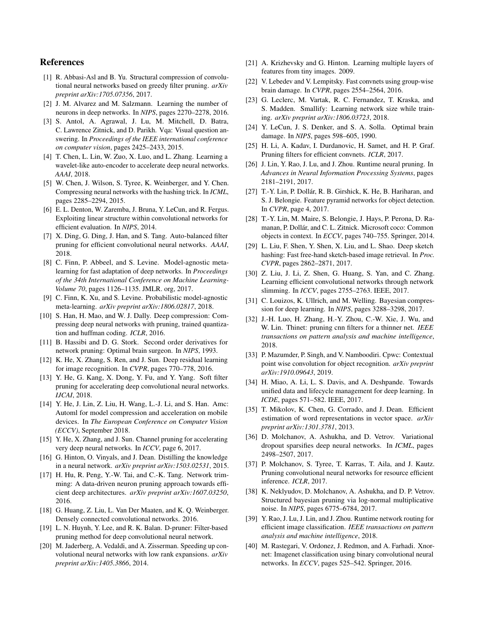# References

- <span id="page-8-22"></span>[1] R. Abbasi-Asl and B. Yu. Structural compression of convolutional neural networks based on greedy filter pruning. *arXiv preprint arXiv:1705.07356*, 2017.
- <span id="page-8-28"></span>[2] J. M. Alvarez and M. Salzmann. Learning the number of neurons in deep networks. In *NIPS*, pages 2270–2278, 2016.
- <span id="page-8-4"></span>[3] S. Antol, A. Agrawal, J. Lu, M. Mitchell, D. Batra, C. Lawrence Zitnick, and D. Parikh. Vqa: Visual question answering. In *Proceedings of the IEEE international conference on computer vision*, pages 2425–2433, 2015.
- <span id="page-8-39"></span>[4] T. Chen, L. Lin, W. Zuo, X. Luo, and L. Zhang. Learning a wavelet-like auto-encoder to accelerate deep neural networks. *AAAI*, 2018.
- <span id="page-8-19"></span>[5] W. Chen, J. Wilson, S. Tyree, K. Weinberger, and Y. Chen. Compressing neural networks with the hashing trick. In *ICML*, pages 2285–2294, 2015.
- <span id="page-8-24"></span>[6] E. L. Denton, W. Zaremba, J. Bruna, Y. LeCun, and R. Fergus. Exploiting linear structure within convolutional networks for efficient evaluation. In *NIPS*, 2014.
- <span id="page-8-6"></span>[7] X. Ding, G. Ding, J. Han, and S. Tang. Auto-balanced filter pruning for efficient convolutional neural networks. *AAAI*, 2018.
- <span id="page-8-16"></span>[8] C. Finn, P. Abbeel, and S. Levine. Model-agnostic metalearning for fast adaptation of deep networks. In *Proceedings of the 34th International Conference on Machine Learning-Volume 70*, pages 1126–1135. JMLR. org, 2017.
- <span id="page-8-1"></span>[9] C. Finn, K. Xu, and S. Levine. Probabilistic model-agnostic meta-learning. *arXiv preprint arXiv:1806.02817*, 2018.
- <span id="page-8-20"></span>[10] S. Han, H. Mao, and W. J. Dally. Deep compression: Compressing deep neural networks with pruning, trained quantization and huffman coding. *ICLR*, 2016.
- <span id="page-8-18"></span>[11] B. Hassibi and D. G. Stork. Second order derivatives for network pruning: Optimal brain surgeon. In *NIPS*, 1993.
- <span id="page-8-0"></span>[12] K. He, X. Zhang, S. Ren, and J. Sun. Deep residual learning for image recognition. In *CVPR*, pages 770–778, 2016.
- <span id="page-8-10"></span>[13] Y. He, G. Kang, X. Dong, Y. Fu, and Y. Yang. Soft filter pruning for accelerating deep convolutional neural networks. *IJCAI*, 2018.
- <span id="page-8-30"></span>[14] Y. He, J. Lin, Z. Liu, H. Wang, L.-J. Li, and S. Han. Amc: Automl for model compression and acceleration on mobile devices. In *The European Conference on Computer Vision (ECCV)*, September 2018.
- <span id="page-8-7"></span>[15] Y. He, X. Zhang, and J. Sun. Channel pruning for accelerating very deep neural networks. In *ICCV*, page 6, 2017.
- <span id="page-8-15"></span>[16] G. Hinton, O. Vinyals, and J. Dean. Distilling the knowledge in a neural network. *arXiv preprint arXiv:1503.02531*, 2015.
- <span id="page-8-21"></span>[17] H. Hu, R. Peng, Y.-W. Tai, and C.-K. Tang. Network trimming: A data-driven neuron pruning approach towards efficient deep architectures. *arXiv preprint arXiv:1607.03250*, 2016.
- <span id="page-8-2"></span>[18] G. Huang, Z. Liu, L. Van Der Maaten, and K. Q. Weinberger. Densely connected convolutional networks. 2016.
- <span id="page-8-13"></span>[19] L. N. Huynh, Y. Lee, and R. K. Balan. D-pruner: Filter-based pruning method for deep convolutional neural network.
- <span id="page-8-25"></span>[20] M. Jaderberg, A. Vedaldi, and A. Zisserman. Speeding up convolutional neural networks with low rank expansions. *arXiv preprint arXiv:1405.3866*, 2014.
- <span id="page-8-35"></span>[21] A. Krizhevsky and G. Hinton. Learning multiple layers of features from tiny images. 2009.
- <span id="page-8-27"></span>[22] V. Lebedev and V. Lempitsky. Fast convnets using group-wise brain damage. In *CVPR*, pages 2554–2564, 2016.
- <span id="page-8-14"></span>[23] G. Leclerc, M. Vartak, R. C. Fernandez, T. Kraska, and S. Madden. Smallify: Learning network size while training. *arXiv preprint arXiv:1806.03723*, 2018.
- <span id="page-8-17"></span>[24] Y. LeCun, J. S. Denker, and S. A. Solla. Optimal brain damage. In *NIPS*, pages 598–605, 1990.
- <span id="page-8-8"></span>[25] H. Li, A. Kadav, I. Durdanovic, H. Samet, and H. P. Graf. Pruning filters for efficient convnets. *ICLR*, 2017.
- <span id="page-8-29"></span>[26] J. Lin, Y. Rao, J. Lu, and J. Zhou. Runtime neural pruning. In *Advances in Neural Information Processing Systems*, pages 2181–2191, 2017.
- <span id="page-8-11"></span>[27] T.-Y. Lin, P. Dollár, R. B. Girshick, K. He, B. Hariharan, and S. J. Belongie. Feature pyramid networks for object detection. In *CVPR*, page 4, 2017.
- <span id="page-8-36"></span>[28] T.-Y. Lin, M. Maire, S. Belongie, J. Hays, P. Perona, D. Ramanan, P. Dollár, and C. L. Zitnick. Microsoft coco: Common objects in context. In *ECCV*, pages 740–755. Springer, 2014.
- <span id="page-8-5"></span>[29] L. Liu, F. Shen, Y. Shen, X. Liu, and L. Shao. Deep sketch hashing: Fast free-hand sketch-based image retrieval. In *Proc. CVPR*, pages 2862–2871, 2017.
- <span id="page-8-26"></span>[30] Z. Liu, J. Li, Z. Shen, G. Huang, S. Yan, and C. Zhang. Learning efficient convolutional networks through network slimming. In *ICCV*, pages 2755–2763. IEEE, 2017.
- <span id="page-8-34"></span>[31] C. Louizos, K. Ullrich, and M. Welling. Bayesian compression for deep learning. In *NIPS*, pages 3288–3298, 2017.
- <span id="page-8-12"></span>[32] J.-H. Luo, H. Zhang, H.-Y. Zhou, C.-W. Xie, J. Wu, and W. Lin. Thinet: pruning cnn filters for a thinner net. *IEEE transactions on pattern analysis and machine intelligence*, 2018.
- <span id="page-8-9"></span>[33] P. Mazumder, P. Singh, and V. Namboodiri. Cpwc: Contextual point wise convolution for object recognition. *arXiv preprint arXiv:1910.09643*, 2019.
- <span id="page-8-32"></span>[34] H. Miao, A. Li, L. S. Davis, and A. Deshpande. Towards unified data and lifecycle management for deep learning. In *ICDE*, pages 571–582. IEEE, 2017.
- <span id="page-8-3"></span>[35] T. Mikolov, K. Chen, G. Corrado, and J. Dean. Efficient estimation of word representations in vector space. *arXiv preprint arXiv:1301.3781*, 2013.
- <span id="page-8-37"></span>[36] D. Molchanov, A. Ashukha, and D. Vetrov. Variational dropout sparsifies deep neural networks. In *ICML*, pages 2498–2507, 2017.
- <span id="page-8-23"></span>[37] P. Molchanov, S. Tyree, T. Karras, T. Aila, and J. Kautz. Pruning convolutional neural networks for resource efficient inference. *ICLR*, 2017.
- <span id="page-8-38"></span>[38] K. Neklyudov, D. Molchanov, A. Ashukha, and D. P. Vetrov. Structured bayesian pruning via log-normal multiplicative noise. In *NIPS*, pages 6775–6784, 2017.
- <span id="page-8-31"></span>[39] Y. Rao, J. Lu, J. Lin, and J. Zhou. Runtime network routing for efficient image classification. *IEEE transactions on pattern analysis and machine intelligence*, 2018.
- <span id="page-8-33"></span>[40] M. Rastegari, V. Ordonez, J. Redmon, and A. Farhadi. Xnornet: Imagenet classification using binary convolutional neural networks. In *ECCV*, pages 525–542. Springer, 2016.